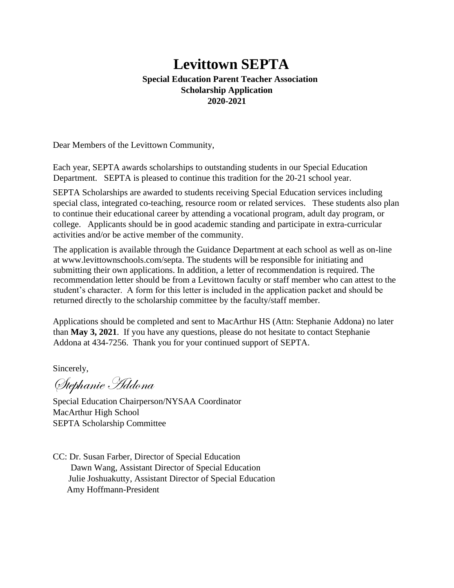#### **Levittown SEPTA Special Education Parent Teacher Association Scholarship Application 2020-2021**

Dear Members of the Levittown Community,

Each year, SEPTA awards scholarships to outstanding students in our Special Education Department. SEPTA is pleased to continue this tradition for the 20-21 school year.

SEPTA Scholarships are awarded to students receiving Special Education services including special class, integrated co-teaching, resource room or related services. These students also plan to continue their educational career by attending a vocational program, adult day program, or college. Applicants should be in good academic standing and participate in extra-curricular activities and/or be active member of the community.

The application is available through the Guidance Department at each school as well as on-line at www.levittownschools.com/septa. The students will be responsible for initiating and submitting their own applications. In addition, a letter of recommendation is required. The recommendation letter should be from a Levittown faculty or staff member who can attest to the student's character. A form for this letter is included in the application packet and should be returned directly to the scholarship committee by the faculty/staff member.

Applications should be completed and sent to MacArthur HS (Attn: Stephanie Addona) no later than **May 3, 2021**. If you have any questions, please do not hesitate to contact Stephanie Addona at 434-7256. Thank you for your continued support of SEPTA.

Sincerely,

Stephanie Addona

Special Education Chairperson/NYSAA Coordinator MacArthur High School SEPTA Scholarship Committee

CC: Dr. Susan Farber, Director of Special Education Dawn Wang, Assistant Director of Special Education Julie Joshuakutty, Assistant Director of Special Education Amy Hoffmann-President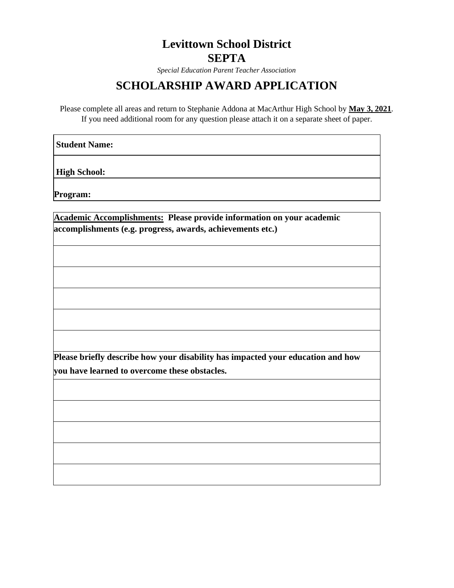## **Levittown School District SEPTA**

*Special Education Parent Teacher Association* 

### **SCHOLARSHIP AWARD APPLICATION**

Please complete all areas and return to Stephanie Addona at MacArthur High School by **May 3, 2021**. If you need additional room for any question please attach it on a separate sheet of paper.

**Student Name:** 

**High School:**

**Program:** 

| Academic Accomplishments: Please provide information on your academic           |  |
|---------------------------------------------------------------------------------|--|
| accomplishments (e.g. progress, awards, achievements etc.)                      |  |
|                                                                                 |  |
|                                                                                 |  |
|                                                                                 |  |
|                                                                                 |  |
|                                                                                 |  |
|                                                                                 |  |
|                                                                                 |  |
|                                                                                 |  |
|                                                                                 |  |
|                                                                                 |  |
|                                                                                 |  |
|                                                                                 |  |
| Please briefly describe how your disability has impacted your education and how |  |
| you have learned to overcome these obstacles.                                   |  |
|                                                                                 |  |
|                                                                                 |  |
|                                                                                 |  |
|                                                                                 |  |
|                                                                                 |  |
|                                                                                 |  |
|                                                                                 |  |
|                                                                                 |  |
|                                                                                 |  |
|                                                                                 |  |
|                                                                                 |  |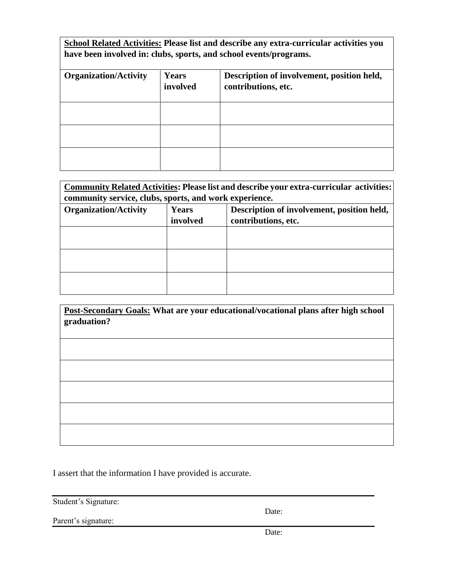**School Related Activities: Please list and describe any extra-curricular activities you have been involved in: clubs, sports, and school events/programs.**

| <b>Organization/Activity</b> | Years<br>involved | Description of involvement, position held,<br>contributions, etc. |
|------------------------------|-------------------|-------------------------------------------------------------------|
|                              |                   |                                                                   |
|                              |                   |                                                                   |
|                              |                   |                                                                   |

| <b>Community Related Activities: Please list and describe your extra-curricular activities:</b><br>community service, clubs, sports, and work experience. |          |                     |  |  |  |
|-----------------------------------------------------------------------------------------------------------------------------------------------------------|----------|---------------------|--|--|--|
|                                                                                                                                                           |          |                     |  |  |  |
|                                                                                                                                                           | involved | contributions, etc. |  |  |  |
|                                                                                                                                                           |          |                     |  |  |  |
|                                                                                                                                                           |          |                     |  |  |  |
|                                                                                                                                                           |          |                     |  |  |  |
|                                                                                                                                                           |          |                     |  |  |  |
|                                                                                                                                                           |          |                     |  |  |  |
|                                                                                                                                                           |          |                     |  |  |  |

**Post-Secondary Goals: What are your educational/vocational plans after high school graduation?** 

I assert that the information I have provided is accurate.

Student's Signature:

Date:

Parent's signature:

Date: